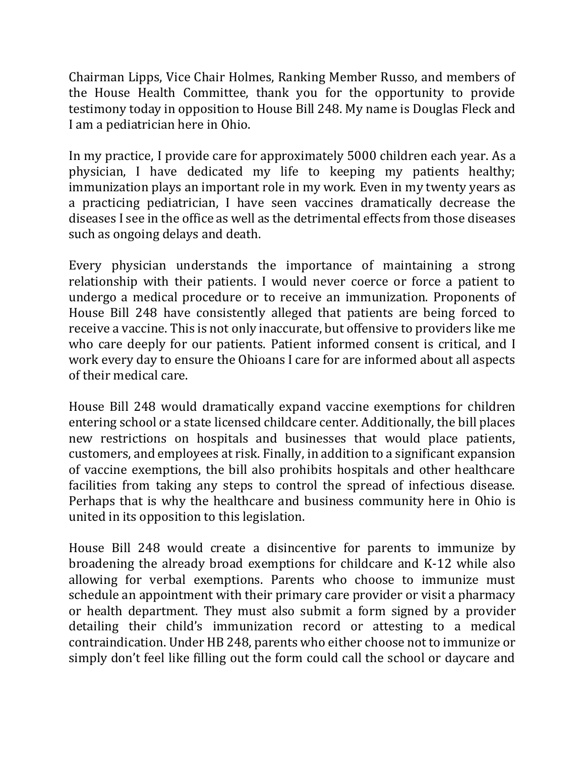Chairman Lipps, Vice Chair Holmes, Ranking Member Russo, and members of the House Health Committee, thank you for the opportunity to provide testimony today in opposition to House Bill 248. My name is Douglas Fleck and I am a pediatrician here in Ohio.

In my practice, I provide care for approximately 5000 children each year. As a physician, I have dedicated my life to keeping my patients healthy; immunization plays an important role in my work. Even in my twenty years as a practicing pediatrician, I have seen vaccines dramatically decrease the diseases I see in the office as well as the detrimental effects from those diseases such as ongoing delays and death.

Every physician understands the importance of maintaining a strong relationship with their patients. I would never coerce or force a patient to undergo a medical procedure or to receive an immunization. Proponents of House Bill 248 have consistently alleged that patients are being forced to receive a vaccine. This is not only inaccurate, but offensive to providers like me who care deeply for our patients. Patient informed consent is critical, and I work every day to ensure the Ohioans I care for are informed about all aspects of their medical care.

House Bill 248 would dramatically expand vaccine exemptions for children entering school or a state licensed childcare center. Additionally, the bill places new restrictions on hospitals and businesses that would place patients, customers, and employees at risk. Finally, in addition to a significant expansion of vaccine exemptions, the bill also prohibits hospitals and other healthcare facilities from taking any steps to control the spread of infectious disease. Perhaps that is why the healthcare and business community here in Ohio is united in its opposition to this legislation.

House Bill 248 would create a disincentive for parents to immunize by broadening the already broad exemptions for childcare and K-12 while also allowing for verbal exemptions. Parents who choose to immunize must schedule an appointment with their primary care provider or visit a pharmacy or health department. They must also submit a form signed by a provider detailing their child's immunization record or attesting to a medical contraindication. Under HB 248, parents who either choose not to immunize or simply don't feel like filling out the form could call the school or daycare and